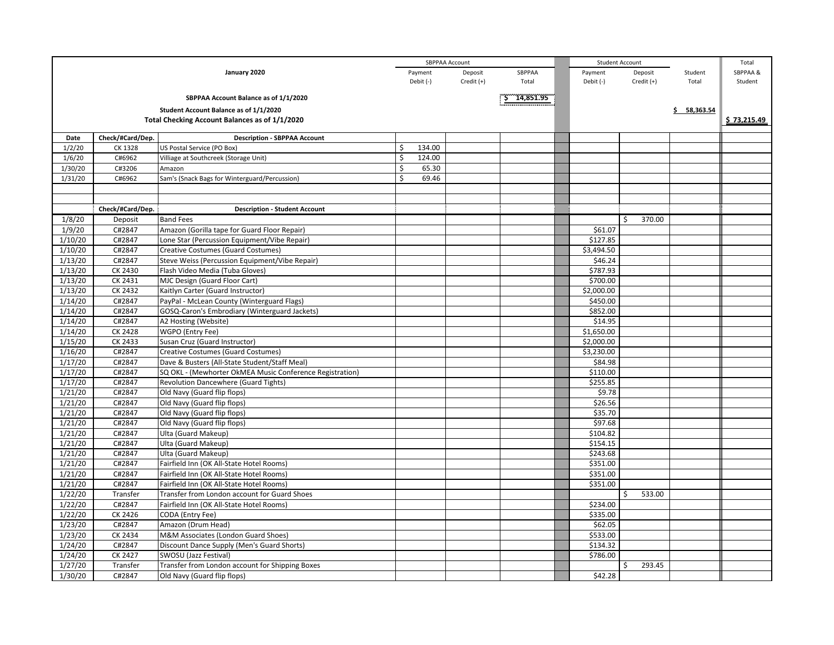|                                                    | SBPPAA Account   |                                                          |              |            |        |            | <b>Student Account</b> |             | Total       |
|----------------------------------------------------|------------------|----------------------------------------------------------|--------------|------------|--------|------------|------------------------|-------------|-------------|
| January 2020                                       |                  |                                                          | Payment      | Deposit    | SBPPAA | Payment    | Deposit                | Student     | SBPPAA &    |
|                                                    |                  |                                                          | Debit (-)    | Credit (+) | Total  | Debit (-)  | Credit $(+)$           | Total       | Student     |
|                                                    |                  |                                                          |              |            |        |            |                        |             |             |
| SBPPAA Account Balance as of 1/1/2020<br>14,851.95 |                  |                                                          |              |            |        |            |                        |             |             |
|                                                    |                  | Student Account Balance as of 1/1/2020                   |              |            |        |            |                        | \$58,363.54 |             |
|                                                    |                  | Total Checking Account Balances as of 1/1/2020           |              |            |        |            |                        |             | \$73.215.49 |
| Date                                               | Check/#Card/Dep. | <b>Description - SBPPAA Account</b>                      |              |            |        |            |                        |             |             |
| 1/2/20                                             | CK 1328          | US Postal Service (PO Box)                               | \$<br>134.00 |            |        |            |                        |             |             |
| 1/6/20                                             | C#6962           | Villiage at Southcreek (Storage Unit)                    | Ś<br>124.00  |            |        |            |                        |             |             |
| 1/30/20                                            | C#3206           | Amazon                                                   | \$<br>65.30  |            |        |            |                        |             |             |
| 1/31/20                                            | C#6962           | Sam's (Snack Bags for Winterguard/Percussion)            | Ś<br>69.46   |            |        |            |                        |             |             |
|                                                    |                  |                                                          |              |            |        |            |                        |             |             |
|                                                    |                  |                                                          |              |            |        |            |                        |             |             |
|                                                    | Check/#Card/Dep. | <b>Description - Student Account</b>                     |              |            |        |            |                        |             |             |
| 1/8/20                                             | Deposit          | <b>Band Fees</b>                                         |              |            |        |            | 370.00<br>Ś            |             |             |
| 1/9/20                                             | C#2847           | Amazon (Gorilla tape for Guard Floor Repair)             |              |            |        | \$61.07    |                        |             |             |
| 1/10/20                                            | C#2847           | Lone Star (Percussion Equipment/Vibe Repair)             |              |            |        | \$127.85   |                        |             |             |
| 1/10/20                                            | C#2847           | Creative Costumes (Guard Costumes)                       |              |            |        | \$3,494.50 |                        |             |             |
| 1/13/20                                            | C#2847           | Steve Weiss (Percussion Equipment/Vibe Repair)           |              |            |        | \$46.24    |                        |             |             |
| 1/13/20                                            | CK 2430          | Flash Video Media (Tuba Gloves)                          |              |            |        | \$787.93   |                        |             |             |
| 1/13/20                                            | CK 2431          | MJC Design (Guard Floor Cart)                            |              |            |        | \$700.00   |                        |             |             |
| 1/13/20                                            | CK 2432          | Kaitlyn Carter (Guard Instructor)                        |              |            |        | \$2,000.00 |                        |             |             |
| 1/14/20                                            | C#2847           | PayPal - McLean County (Winterguard Flags)               |              |            |        | \$450.00   |                        |             |             |
| 1/14/20                                            | C#2847           | GOSQ-Caron's Embrodiary (Winterguard Jackets)            |              |            |        | \$852.00   |                        |             |             |
| 1/14/20                                            | C#2847           | A2 Hosting (Website)                                     |              |            |        | \$14.95    |                        |             |             |
| 1/14/20                                            | <b>CK 2428</b>   | WGPO (Entry Fee)                                         |              |            |        | \$1,650.00 |                        |             |             |
| 1/15/20                                            | CK 2433          | Susan Cruz (Guard Instructor)                            |              |            |        | \$2,000.00 |                        |             |             |
| 1/16/20                                            | C#2847           | <b>Creative Costumes (Guard Costumes)</b>                |              |            |        | \$3,230.00 |                        |             |             |
| 1/17/20                                            | C#2847           | Dave & Busters (All-State Student/Staff Meal)            |              |            |        | \$84.98    |                        |             |             |
| 1/17/20                                            | C#2847           | SQ OKL - (Mewhorter OkMEA Music Conference Registration) |              |            |        | \$110.00   |                        |             |             |
| 1/17/20                                            | C#2847           | <b>Revolution Dancewhere (Guard Tights)</b>              |              |            |        | \$255.85   |                        |             |             |
| 1/21/20                                            | C#2847           | Old Navy (Guard flip flops)                              |              |            |        | \$9.78     |                        |             |             |
| 1/21/20                                            | C#2847           | Old Navy (Guard flip flops)                              |              |            |        | \$26.56    |                        |             |             |
| 1/21/20                                            | C#2847           | Old Navy (Guard flip flops)                              |              |            |        | \$35.70    |                        |             |             |
| 1/21/20                                            | C#2847           | Old Navy (Guard flip flops)                              |              |            |        | \$97.68    |                        |             |             |
| 1/21/20                                            | C#2847           | Ulta (Guard Makeup)                                      |              |            |        | \$104.82   |                        |             |             |
| 1/21/20                                            | C#2847           | Ulta (Guard Makeup)                                      |              |            |        | \$154.15   |                        |             |             |
| 1/21/20                                            | C#2847           | Ulta (Guard Makeup)                                      |              |            |        | \$243.68   |                        |             |             |
| 1/21/20                                            | C#2847           | Fairfield Inn (OK All-State Hotel Rooms)                 |              |            |        | \$351.00   |                        |             |             |
| 1/21/20                                            | C#2847           | Fairfield Inn (OK All-State Hotel Rooms)                 |              |            |        | \$351.00   |                        |             |             |
| 1/21/20                                            | C#2847           | Fairfield Inn (OK All-State Hotel Rooms)                 |              |            |        | \$351.00   |                        |             |             |
| 1/22/20                                            | Transfer         | Transfer from London account for Guard Shoes             |              |            |        |            | 533.00<br>Ś            |             |             |
| 1/22/20                                            | C#2847           | Fairfield Inn (OK All-State Hotel Rooms)                 |              |            |        | \$234.00   |                        |             |             |
| 1/22/20                                            | CK 2426          | CODA (Entry Fee)                                         |              |            |        | \$335.00   |                        |             |             |
| 1/23/20                                            | C#2847           | Amazon (Drum Head)                                       |              |            |        | \$62.05    |                        |             |             |
| 1/23/20                                            | <b>CK 2434</b>   | M&M Associates (London Guard Shoes)                      |              |            |        | \$533.00   |                        |             |             |
| 1/24/20                                            | C#2847           | Discount Dance Supply (Men's Guard Shorts)               |              |            |        | \$134.32   |                        |             |             |
| 1/24/20                                            | <b>CK 2427</b>   | SWOSU (Jazz Festival)                                    |              |            |        | \$786.00   |                        |             |             |
| 1/27/20                                            | Transfer         | Transfer from London account for Shipping Boxes          |              |            |        |            | 293.45<br>Ś            |             |             |
| 1/30/20                                            | C#2847           | Old Navy (Guard flip flops)                              |              |            |        | \$42.28    |                        |             |             |